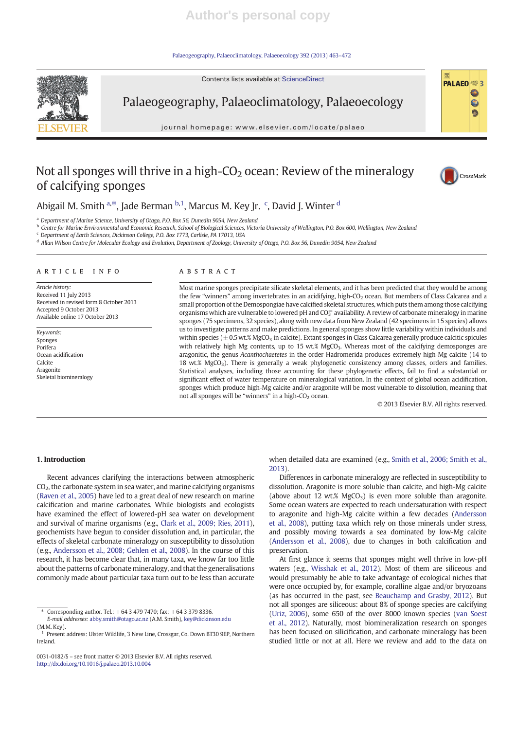Palaeogeography, Palaeoclimatology, Palaeoecology 392 (2013) 463–472

Contents lists available at ScienceDirect



Palaeogeography, Palaeoclimatology, Palaeoecology

journal homepage: www.elsevier.com/locate/palaeo

## Not all sponges will thrive in a high- $CO<sub>2</sub>$  ocean: Review of the mineralogy of calcifying sponges



 $PALAEO \equiv 3$ 

0 Ø

Abigail M. Smith <sup>a, $\ast$ </sup>, Jade Berman <sup>b,1</sup>, Marcus M. Key Jr. <sup>c</sup>, David J. Winter <sup>d</sup>

<sup>a</sup> Department of Marine Science, University of Otago, P.O. Box 56, Dunedin 9054, New Zealand

b Centre for Marine Environmental and Economic Research, School of Biological Sciences, Victoria University of Wellington, P.O. Box 600, Wellington, New Zealand

<sup>c</sup> Department of Earth Sciences, Dickinson College, P.O. Box 1773, Carlisle, PA 17013, USA

<sup>d</sup> Allan Wilson Centre for Molecular Ecology and Evolution, Department of Zoology, University of Otago, P.O. Box 56, Dunedin 9054, New Zealand

### ARTICLE INFO ABSTRACT

Article history: Received 11 July 2013 Received in revised form 8 October 2013 Accepted 9 October 2013 Available online 17 October 2013

Keywords: Sponges Porifera Ocean acidification Calcite Aragonite Skeletal biomineralogy

Most marine sponges precipitate silicate skeletal elements, and it has been predicted that they would be among the few "winners" among invertebrates in an acidifying, high-CO<sub>2</sub> ocean. But members of Class Calcarea and a small proportion of the Demospongiae have calcified skeletal structures, which puts them among those calcifying organisms which are vulnerable to lowered pH and CO $_3^\equiv$  availability. A review of carbonate mineralogy in marine sponges (75 specimens, 32 species), along with new data from New Zealand (42 specimens in 15 species) allows us to investigate patterns and make predictions. In general sponges show little variability within individuals and within species ( $\pm$ 0.5 wt.% MgCO<sub>3</sub> in calcite). Extant sponges in Class Calcarea generally produce calcitic spicules with relatively high Mg contents, up to 15 wt.% MgCO<sub>3</sub>. Whereas most of the calcifying demosponges are aragonitic, the genus Acanthochaetetes in the order Hadromerida produces extremely high-Mg calcite (14 to 18 wt.%  $MgCO<sub>3</sub>$ ). There is generally a weak phylogenetic consistency among classes, orders and families. Statistical analyses, including those accounting for these phylogenetic effects, fail to find a substantial or significant effect of water temperature on mineralogical variation. In the context of global ocean acidification, sponges which produce high-Mg calcite and/or aragonite will be most vulnerable to dissolution, meaning that not all sponges will be "winners" in a high- $CO<sub>2</sub>$  ocean.

© 2013 Elsevier B.V. All rights reserved.

#### 1. Introduction

Recent advances clarifying the interactions between atmospheric CO2, the carbonate system in sea water, and marine calcifying organisms (Raven et al., 2005) have led to a great deal of new research on marine calcification and marine carbonates. While biologists and ecologists have examined the effect of lowered-pH sea water on development and survival of marine organisms (e.g., Clark et al., 2009; Ries, 2011), geochemists have begun to consider dissolution and, in particular, the effects of skeletal carbonate mineralogy on susceptibility to dissolution (e.g., Andersson et al., 2008; Gehlen et al., 2008). In the course of this research, it has become clear that, in many taxa, we know far too little about the patterns of carbonate mineralogy, and that the generalisations commonly made about particular taxa turn out to be less than accurate

 $\frac{1}{2}$  Corresponding author. Tel:  $+6434797470$ ; fax:  $+6433798336$ 

E-mail addresses: abby.smith@otago.ac.nz (A.M. Smith), key@dickinson.edu (M.M. Key).

0031-0182/\$ – see front matter © 2013 Elsevier B.V. All rights reserved. http://dx.doi.org/10.1016/j.palaeo.2013.10.004

when detailed data are examined (e.g., Smith et al., 2006; Smith et al., 2013).

Differences in carbonate mineralogy are reflected in susceptibility to dissolution. Aragonite is more soluble than calcite, and high-Mg calcite (above about 12 wt.%  $MgCO<sub>3</sub>$ ) is even more soluble than aragonite. Some ocean waters are expected to reach undersaturation with respect to aragonite and high-Mg calcite within a few decades (Andersson et al., 2008), putting taxa which rely on those minerals under stress, and possibly moving towards a sea dominated by low-Mg calcite (Andersson et al., 2008), due to changes in both calcification and preservation.

At first glance it seems that sponges might well thrive in low-pH waters (e.g., Wisshak et al., 2012). Most of them are siliceous and would presumably be able to take advantage of ecological niches that were once occupied by, for example, coralline algae and/or bryozoans (as has occurred in the past, see Beauchamp and Grasby, 2012). But not all sponges are siliceous: about 8% of sponge species are calcifying (Uriz, 2006), some 650 of the over 8000 known species (van Soest et al., 2012). Naturally, most biomineralization research on sponges has been focused on silicification, and carbonate mineralogy has been studied little or not at all. Here we review and add to the data on

<sup>&</sup>lt;sup>1</sup> Present address: Ulster Wildlife, 3 New Line, Crossgar, Co. Down BT30 9EP, Northern Ireland.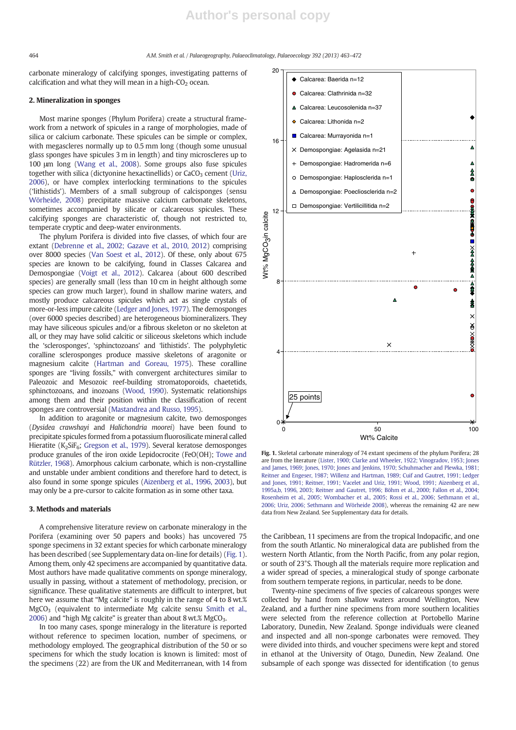#### 464 A.M. Smith et al. / Palaeogeography, Palaeoclimatology, Palaeoecology 392 (2013) 463–472

carbonate mineralogy of calcifying sponges, investigating patterns of calcification and what they will mean in a high- $CO<sub>2</sub>$  ocean.

#### 2. Mineralization in sponges

Most marine sponges (Phylum Porifera) create a structural framework from a network of spicules in a range of morphologies, made of silica or calcium carbonate. These spicules can be simple or complex, with megascleres normally up to 0.5 mm long (though some unusual glass sponges have spicules 3 m in length) and tiny microscleres up to 100 μm long (Wang et al., 2008). Some groups also fuse spicules together with silica (dictyonine hexactinellids) or  $CaCO<sub>3</sub>$  cement (Uriz, 2006), or have complex interlocking terminations to the spicules ('lithistids'). Members of a small subgroup of calcisponges (sensu Wörheide, 2008) precipitate massive calcium carbonate skeletons, sometimes accompanied by silicate or calcareous spicules. These calcifying sponges are characteristic of, though not restricted to, temperate cryptic and deep-water environments.

The phylum Porifera is divided into five classes, of which four are extant (Debrenne et al., 2002; Gazave et al., 2010, 2012) comprising over 8000 species (Van Soest et al., 2012). Of these, only about 675 species are known to be calcifying, found in Classes Calcarea and Demospongiae (Voigt et al., 2012). Calcarea (about 600 described species) are generally small (less than 10 cm in height although some species can grow much larger), found in shallow marine waters, and mostly produce calcareous spicules which act as single crystals of more-or-less impure calcite (Ledger and Jones, 1977). The demosponges (over 6000 species described) are heterogeneous biomineralizers. They may have siliceous spicules and/or a fibrous skeleton or no skeleton at all, or they may have solid calcitic or siliceous skeletons which include the 'sclerosponges', 'sphinctozoans' and 'lithistids'. The polyphyletic coralline sclerosponges produce massive skeletons of aragonite or magnesium calcite (Hartman and Goreau, 1975). These coralline sponges are "living fossils," with convergent architectures similar to Paleozoic and Mesozoic reef-building stromatoporoids, chaetetids, sphinctozoans, and inozoans (Wood, 1990). Systematic relationships among them and their position within the classification of recent sponges are controversial (Mastandrea and Russo, 1995).

In addition to aragonite or magnesium calcite, two demosponges (Dysidea crawshayi and Halichondria moorei) have been found to precipitate spicules formed from a potassium fluorosilicate mineral called Hieratite (K<sub>2</sub>SiF<sub>6</sub>; Gregson et al., 1979). Several keratose demosponges produce granules of the iron oxide Lepidocrocite (FeO(OH); Towe and Rützler, 1968). Amorphous calcium carbonate, which is non-crystalline and unstable under ambient conditions and therefore hard to detect, is also found in some sponge spicules (Aizenberg et al., 1996, 2003), but may only be a pre-cursor to calcite formation as in some other taxa.

#### 3. Methods and materials

A comprehensive literature review on carbonate mineralogy in the Porifera (examining over 50 papers and books) has uncovered 75 sponge specimens in 32 extant species for which carbonate mineralogy has been described (see Supplementary data on-line for details) (Fig. 1). Among them, only 42 specimens are accompanied by quantitative data. Most authors have made qualitative comments on sponge mineralogy, usually in passing, without a statement of methodology, precision, or significance. These qualitative statements are difficult to interpret, but here we assume that "Mg calcite" is roughly in the range of 4 to 8 wt.%  $MgCO<sub>3</sub>$  (equivalent to intermediate Mg calcite sensu Smith et al., 2006) and "high Mg calcite" is greater than about 8 wt.%  $MgCO<sub>3</sub>$ .

In too many cases, sponge mineralogy in the literature is reported without reference to specimen location, number of specimens, or methodology employed. The geographical distribution of the 50 or so specimens for which the study location is known is limited: most of the specimens (22) are from the UK and Mediterranean, with 14 from



Fig. 1. Skeletal carbonate mineralogy of 74 extant specimens of the phylum Porifera; 28 are from the literature (Lister, 1900; Clarke and Wheeler, 1922; Vinogradov, 1953; Jones and James, 1969; Jones, 1970; Jones and Jenkins, 1970; Schuhmacher and Plewka, 1981; Reitner and Engeser, 1987; Willenz and Hartman, 1989; Cuif and Gautret, 1991; Ledger and Jones, 1991; Reitner, 1991; Vacelet and Uriz, 1991; Wood, 1991; Aizenberg et al., 1995a,b, 1996, 2003; Reitner and Gautret, 1996; Böhm et al., 2000; Fallon et al., 2004; Rosenheim et al., 2005; Wombacher et al., 2005; Rossi et al., 2006; Sethmann et al., 2006; Uriz, 2006; Sethmann and Wörheide 2008), whereas the remaining 42 are new data from New Zealand. See Supplementary data for details.

the Caribbean, 11 specimens are from the tropical Indopacific, and one from the south Atlantic. No mineralogical data are published from the western North Atlantic, from the North Pacific, from any polar region, or south of 23°S. Though all the materials require more replication and a wider spread of species, a mineralogical study of sponge carbonate from southern temperate regions, in particular, needs to be done.

Twenty-nine specimens of five species of calcareous sponges were collected by hand from shallow waters around Wellington, New Zealand, and a further nine specimens from more southern localities were selected from the reference collection at Portobello Marine Laboratory, Dunedin, New Zealand. Sponge individuals were cleaned and inspected and all non-sponge carbonates were removed. They were divided into thirds, and voucher specimens were kept and stored in ethanol at the University of Otago, Dunedin, New Zealand. One subsample of each sponge was dissected for identification (to genus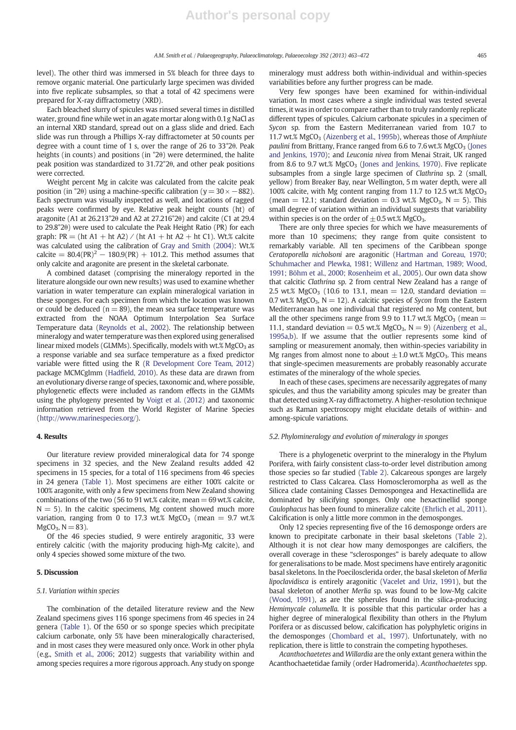level). The other third was immersed in 5% bleach for three days to remove organic material. One particularly large specimen was divided into five replicate subsamples, so that a total of 42 specimens were prepared for X-ray diffractometry (XRD).

Each bleached slurry of spicules was rinsed several times in distilled water, ground fine while wet in an agate mortar along with 0.1g NaCl as an internal XRD standard, spread out on a glass slide and dried. Each slide was run through a Phillips X-ray diffractometer at 50 counts per degree with a count time of 1 s, over the range of 26 to 33°2θ. Peak heights (in counts) and positions (in °2θ) were determined, the halite peak position was standardized to 31.72°2θ, and other peak positions were corrected.

Weight percent Mg in calcite was calculated from the calcite peak position (in °2 $\theta$ ) using a machine-specific calibration (y = 30 × −882). Each spectrum was visually inspected as well, and locations of ragged peaks were confirmed by eye. Relative peak height counts (ht) of aragonite (A1 at 26.213°2θ and A2 at 27.216°2θ) and calcite (C1 at 29.4 to 29.8°2θ) were used to calculate the Peak Height Ratio (PR) for each graph: PR = (ht A1 + ht A2) / (ht A1 + ht A2 + ht C1). Wt.% calcite was calculated using the calibration of Gray and Smith (2004): Wt.% calcite =  $80.4(\text{PR})^2 - 180.9(\text{PR}) + 101.2$ . This method assumes that only calcite and aragonite are present in the skeletal carbonate.

A combined dataset (comprising the mineralogy reported in the literature alongside our own new results) was used to examine whether variation in water temperature can explain mineralogical variation in these sponges. For each specimen from which the location was known or could be deduced ( $n = 89$ ), the mean sea surface temperature was extracted from the NOAA Optimum Interpolation Sea Surface Temperature data (Reynolds et al., 2002). The relationship between mineralogy and water temperature was then explored using generalised linear mixed models (GLMMs). Specifically, models with wt.%  $MgCO<sub>3</sub>$  as a response variable and sea surface temperature as a fixed predictor variable were fitted using the R (R Development Core Team, 2012) package MCMCglmm (Hadfield, 2010). As these data are drawn from an evolutionary diverse range of species, taxonomic and, where possible, phylogenetic effects were included as random effects in the GLMMs using the phylogeny presented by Voigt et al. (2012) and taxonomic information retrieved from the World Register of Marine Species (http://www.marinespecies.org/).

#### 4. Results

Our literature review provided mineralogical data for 74 sponge specimens in 32 species, and the New Zealand results added 42 specimens in 15 species, for a total of 116 specimens from 46 species in 24 genera (Table 1). Most specimens are either 100% calcite or 100% aragonite, with only a few specimens from New Zealand showing combinations of the two (56 to 91 wt.% calcite, mean  $= 69$  wt.% calcite,  $N = 5$ ). In the calcitic specimens, Mg content showed much more variation, ranging from 0 to 17.3 wt.%  $MgCO<sub>3</sub>$  (mean = 9.7 wt.%)  $MgCO<sub>3</sub>$ ,  $N = 83$ ).

Of the 46 species studied, 9 were entirely aragonitic, 33 were entirely calcitic (with the majority producing high-Mg calcite), and only 4 species showed some mixture of the two.

#### 5. Discussion

#### 5.1. Variation within species

The combination of the detailed literature review and the New Zealand specimens gives 116 sponge specimens from 46 species in 24 genera (Table 1). Of the 650 or so sponge species which precipitate calcium carbonate, only 5% have been mineralogically characterised, and in most cases they were measured only once. Work in other phyla (e.g., Smith et al., 2006; 2012) suggests that variability within and among species requires a more rigorous approach. Any study on sponge mineralogy must address both within-individual and within-species variabilities before any further progress can be made.

Very few sponges have been examined for within-individual variation. In most cases where a single individual was tested several times, it was in order to compare rather than to truly randomly replicate different types of spicules. Calcium carbonate spicules in a specimen of Sycon sp. from the Eastern Mediterranean varied from 10.7 to 11.7 wt.% MgCO<sub>3</sub> (Aizenberg et al., 1995b), whereas those of Amphiute paulini from Brittany, France ranged from  $6.6$  to  $7.6$  wt.% MgCO<sub>3</sub> (Jones and Jenkins, 1970); and Leuconia nivea from Menai Strait, UK ranged from 8.6 to 9.7 wt.% MgCO<sub>3</sub> (Jones and Jenkins, 1970). Five replicate subsamples from a single large specimen of Clathrina sp. 2 (small, yellow) from Breaker Bay, near Wellington, 5 m water depth, were all 100% calcite, with Mg content ranging from 11.7 to 12.5 wt.%  $MgCO<sub>3</sub>$ (mean = 12.1; standard deviation = 0.3 wt.% MgCO<sub>3</sub>, N = 5). This small degree of variation within an individual suggests that variability within species is on the order of  $\pm$  0.5 wt.% MgCO<sub>3</sub>.

There are only three species for which we have measurements of more than 10 specimens; they range from quite consistent to remarkably variable. All ten specimens of the Caribbean sponge Ceratoporella nicholsoni are aragonitic (Hartman and Goreau, 1970; Schuhmacher and Plewka, 1981; Willenz and Hartman, 1989; Wood, 1991; Böhm et al., 2000; Rosenheim et al., 2005). Our own data show that calcitic Clathrina sp. 2 from central New Zealand has a range of 2.5 wt.% MgCO<sub>3</sub> (10.6 to 13.1, mean = 12.0, standard deviation = 0.7 wt.% MgCO<sub>3</sub>,  $N = 12$ ). A calcitic species of Sycon from the Eastern Mediterranean has one individual that registered no Mg content, but all the other specimens range from 9.9 to 11.7 wt.% MgCO<sub>3</sub> (mean  $=$ 11.1, standard deviation = 0.5 wt.% MgCO<sub>3</sub>, N = 9) (Aizenberg et al., 1995a,b). If we assume that the outlier represents some kind of sampling or measurement anomaly, then within-species variability in Mg ranges from almost none to about  $\pm 1.0$  wt.% MgCO<sub>3</sub>. This means that single-specimen measurements are probably reasonably accurate estimates of the mineralogy of the whole species.

In each of these cases, specimens are necessarily aggregates of many spicules, and thus the variability among spicules may be greater than that detected using X-ray diffractometry. A higher-resolution technique such as Raman spectroscopy might elucidate details of within- and among-spicule variations.

#### 5.2. Phylomineralogy and evolution of mineralogy in sponges

There is a phylogenetic overprint to the mineralogy in the Phylum Porifera, with fairly consistent class-to-order level distribution among those species so far studied (Table 2). Calcareous sponges are largely restricted to Class Calcarea. Class Homoscleromorpha as well as the Silicea clade containing Classes Demospongea and Hexactinellida are dominated by silicifying sponges. Only one hexactinellid sponge Caulophacus has been found to mineralize calcite (Ehrlich et al., 2011). Calcification is only a little more common in the demosponges.

Only 12 species representing five of the 16 demosponge orders are known to precipitate carbonate in their basal skeletons (Table 2). Although it is not clear how many demosponges are calcifiers, the overall coverage in these "sclerosponges" is barely adequate to allow for generalisations to be made. Most specimens have entirely aragonitic basal skeletons. In the Poecilosclerida order, the basal skeleton of Merlia lipoclavidisca is entirely aragonitic (Vacelet and Uriz, 1991), but the basal skeleton of another Merlia sp. was found to be low-Mg calcite (Wood, 1991), as are the spherules found in the silica-producing Hemimycale columella. It is possible that this particular order has a higher degree of mineralogical flexibility than others in the Phylum Porifera or as discussed below, calcification has polyphyletic origins in the demosponges (Chombard et al., 1997). Unfortunately, with no replication, there is little to constrain the competing hypotheses.

Acanthochaetetes and Willardia are the only extant genera within the Acanthochaetetidae family (order Hadromerida). Acanthochaetetes spp.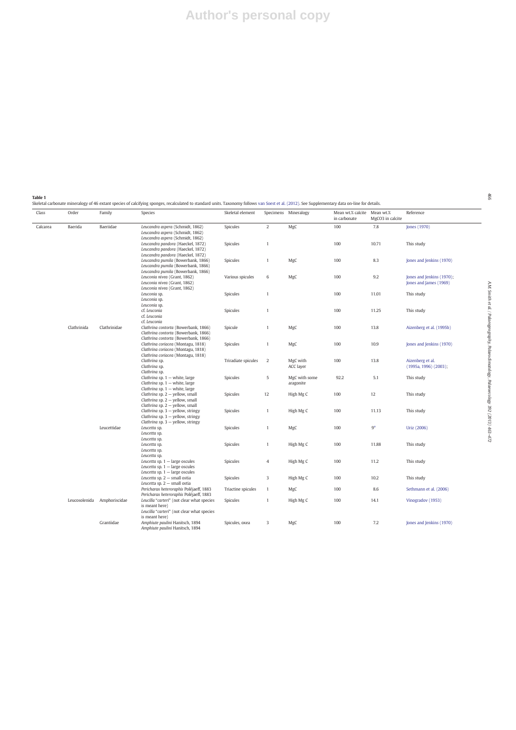## **Author's personal copy**

**Table 1**<br>Skeletal carbonate mineralogy of 46 extant species of calcifying sponges, recalculated to standard units. Taxonomy follows van Soest et al. (2012). See Supplementary data on-line for details.

| Class    | Order       | Family                      | Species                                                                                                              | Skeletal element    |                | Specimens Mineralogy       | Mean wt.% calcite Mean wt.%<br>in carbonate | MgCO3 in calcite | Reference                                           |
|----------|-------------|-----------------------------|----------------------------------------------------------------------------------------------------------------------|---------------------|----------------|----------------------------|---------------------------------------------|------------------|-----------------------------------------------------|
| Calcarea | Baerida     | Baeriidae                   | Leucandra aspera (Schmidt, 1862)<br>Leucandra aspera (Schmidt, 1862)<br>Leucandra aspera (Schmidt, 1862)             | Spicules            | $\overline{2}$ | MgC                        | 100                                         | 7.8              | Jones (1970)                                        |
|          |             |                             | Leucandra pandora (Haeckel, 1872)<br>Leucandra pandora (Haeckel, 1872)<br>Leucandra pandora (Haeckel, 1872)          | Spicules            | $\mathbf{1}$   |                            | 100                                         | 10.71            | This study                                          |
|          |             |                             | Leucandra pumila (Bowerbank, 1866)<br>Leucandra pumila (Bowerbank, 1866)<br>Leucandra pumila (Bowerbank, 1866)       | Spicules            | 1              | MgC                        | 100                                         | 8.3              | Jones and Jenkins (1970)                            |
|          |             |                             | Leuconia nivea (Grant, 1862)<br>Leuconia nivea (Grant, 1862)<br>Leuconia nivea (Grant, 1862)                         | Various spicules    | 6              | MgC                        | 100                                         | 9.2              | Jones and Jenkins (1970);<br>Jones and James (1969) |
|          |             |                             | Leuconia sp.<br>Leuconia sp.<br>Leuconia sp.                                                                         | Spicules            | $\mathbf{1}$   |                            | 100                                         | 11.01            | This study                                          |
|          |             |                             | cf. Leuconia<br>cf. Leuconia<br>cf. Leuconia                                                                         | Spicules            | $\mathbf{1}$   |                            | 100                                         | 11.25            | This study                                          |
|          | Clathrinida | Clathrinidae                | Clathrina contorta (Bowerbank, 1866)<br>Clathrina contorta (Bowerbank, 1866)<br>Clathrina contorta (Bowerbank, 1866) | Spicule             | 1              | MgC                        | 100                                         | 13.8             | Aizenberg et al. (1995b)                            |
|          |             |                             | Clathrina coriacea (Montagu, 1818)<br>Clathrina coriacea (Montagu, 1818)<br>Clathrina coriacea (Montagu, 1818)       | Spicules            | $\mathbf{1}$   | MgC                        | 100                                         | 10.9             | Jones and Jenkins (1970)                            |
|          |             |                             | Clathrina sp.<br>Clathrina sp.<br>Clathrina sp.                                                                      | Triradiate spicules | $\overline{2}$ | MgC with<br>ACC layer      | 100                                         | 13.8             | Aizenberg et al.<br>$(1995a, 1996)$ $(2003)$ ;      |
|          |             |                             | Clathrina sp. $1$ - white, large<br>Clathrina sp. $1$ - white, large<br>Clathrina sp. $1$ - white, large             | Spicules            | 5              | MgC with some<br>aragonite | 92.2                                        | 5.1              | This study                                          |
|          |             |                             | Clathrina sp. 2 - yellow, small<br>Clathrina sp. 2 - yellow, small<br>Clathrina sp. $2$ - yellow, small              | Spicules            | 12             | High Mg C                  | 100                                         | 12               | This study                                          |
|          |             |                             | Clathrina sp. $3$ - yellow, stringy<br>Clathrina sp. 3 - yellow, stringy<br>Clathrina sp. 3 - yellow, stringy        | Spicules            | $\mathbf{1}$   | High Mg C                  | 100                                         | 11.13            | This study                                          |
|          |             | Leucettidae                 | Leucetta sp.<br>Leucetta sp.<br>Leucetta sp.                                                                         | Spicules            | $\mathbf{1}$   | MgC                        | 100                                         | 9 <sup>a</sup>   | Uriz (2006)                                         |
|          |             |                             | Leucetta sp.<br>Leucetta sp.<br>Leucetta sp.                                                                         | Spicules            | 1              | High Mg C                  | 100                                         | 11.88            | This study                                          |
|          |             |                             | Leucetta sp. $1$ - large oscules<br>Leucetta sp. $1 -$ large oscules<br>Leucetta sp. $1$ - large oscules             | Spicules            | $\overline{4}$ | High Mg C                  | 100                                         | 11.2             | This study                                          |
|          |             |                             | Leucetta sp. $2$ - small ostia<br>Leucetta sp. $2$ - small ostia                                                     | Spicules            | 3              | High Mg C                  | 100                                         | 10.2             | This study                                          |
|          |             |                             | Pericharax heteroraphis Poléjaeff, 1883<br>Pericharax heteroraphis Poléjaeff, 1883                                   | Triactine spicules  | $\mathbf{1}$   | MgC                        | 100                                         | 8.6              | Sethmann et al. (2006)                              |
|          |             | Leucosolenida Amphoriscidae | Leucilla "carteri" (not clear what species<br>is meant here)<br>Leucilla "carteri" (not clear what species           | Spicules            | $\mathbf{1}$   | High Mg C                  | 100                                         | 14.1             | Vinogradov (1953)                                   |
|          |             | Grantiidae                  | is meant here)<br>Amphiute paulini Hanitsch, 1894<br>Amphiute paulini Hanitsch, 1894                                 | Spicules, oxea      | 3              | MgC                        | 100                                         | 7.2              | Jones and Jenkins (1970)                            |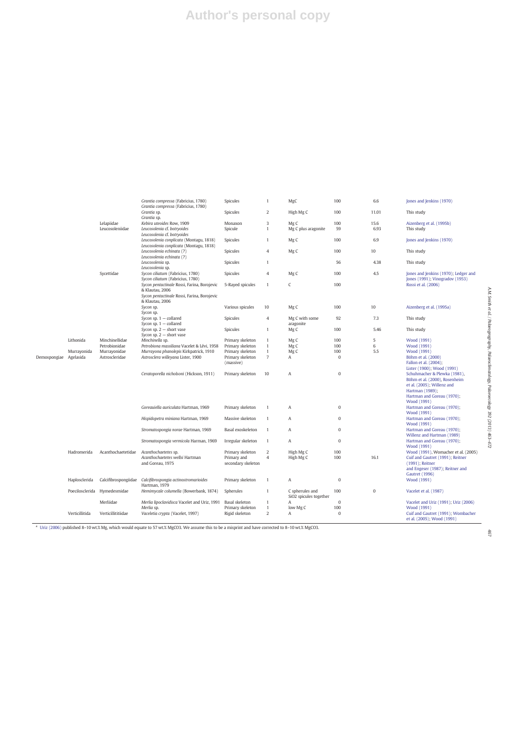# **Author's personal copy**

|              |                                       |                                                                   | Grantia compressa (Fabricius, 1780)<br>Grantia compressa (Fabricius, 1780) | Spicules           | 1              | MgC                    | 100          | 6.6          | Jones and Jenkins (1970)                                         |
|--------------|---------------------------------------|-------------------------------------------------------------------|----------------------------------------------------------------------------|--------------------|----------------|------------------------|--------------|--------------|------------------------------------------------------------------|
|              |                                       |                                                                   | Grantia sp.<br>Grantia sp.                                                 | Spicules           | $\overline{2}$ | High Mg C              | 100          | 11.01        | This study                                                       |
|              |                                       |                                                                   |                                                                            |                    | 3              |                        |              |              |                                                                  |
|              |                                       | Lelapiidae                                                        | Kebira uteoides Row, 1909                                                  | Monaxon            |                | Mg C                   | 100          | 15.6         | Aizenberg et al. (1995b)                                         |
|              |                                       | Leucosoleniidae                                                   | Leucosolenia cf. botryoides                                                | Spicule            | 1              | Mg C plus aragonite    | 59           | 6.93         | This study                                                       |
|              |                                       |                                                                   | Leucosolenia cf. botryoides                                                |                    |                |                        |              |              |                                                                  |
|              |                                       |                                                                   | Leucosolenia conplicata (Montagu, 1818)                                    | Spicules           | $\mathbf{1}$   | Mg C                   | 100          | 6.9          | Jones and Jenkins (1970)                                         |
|              |                                       |                                                                   | Leucosolenia conplicata (Montagu, 1818)                                    |                    |                |                        |              |              |                                                                  |
|              |                                       |                                                                   | Leucosolenia echinata (?)                                                  | Spicules           | $\overline{4}$ | Mg C                   | 100          | 10           | This study                                                       |
|              |                                       |                                                                   | Leucosolenia echinata (?)                                                  |                    |                |                        |              |              |                                                                  |
|              |                                       |                                                                   |                                                                            |                    |                |                        |              |              |                                                                  |
|              |                                       |                                                                   | Leucosolenia sp.                                                           | Spicules           | 1              |                        | 56           | 4.38         | This study                                                       |
|              |                                       |                                                                   | Leucosolenia sp.                                                           |                    |                |                        |              |              |                                                                  |
|              |                                       | Sycettidae                                                        | Sycon ciliatum (Fabricius, 1780)                                           | Spicules           | $\overline{4}$ | Mg C                   | 100          | 4.5          | Jones and Jenkins (1970); Ledger and                             |
|              |                                       |                                                                   | Sycon ciliatum (Fabricius, 1780)                                           |                    |                |                        |              |              | Jones (1991); Vinogradov (1953)                                  |
|              |                                       |                                                                   | Sycon pentactinale Rossi, Farina, Borojevic                                | 5-Rayed spicules   | 1              | $\epsilon$             | 100          |              | Rossi et al. (2006)                                              |
|              |                                       |                                                                   | & Klautau, 2006                                                            |                    |                |                        |              |              |                                                                  |
|              |                                       |                                                                   | Sycon pentactinale Rossi, Farina, Borojevic                                |                    |                |                        |              |              |                                                                  |
|              |                                       |                                                                   |                                                                            |                    |                |                        |              |              |                                                                  |
|              |                                       |                                                                   | & Klautau, 2006                                                            |                    |                |                        |              |              |                                                                  |
|              |                                       |                                                                   | Sycon sp.                                                                  | Various spicules   | 10             | Mg C                   | 100          | 10           | Aizenberg et al. (1995a)                                         |
|              |                                       |                                                                   | Sycon sp.                                                                  |                    |                |                        |              |              |                                                                  |
|              |                                       |                                                                   | Sycon sp. $1 -$ collared                                                   | Spicules           | $\overline{4}$ | Mg C with some         | 92           | 7.3          | This study                                                       |
|              |                                       |                                                                   | Sycon sp. $1$ - collared                                                   |                    |                | aragonite              |              |              |                                                                  |
|              |                                       |                                                                   | Sycon sp. $2$ - short vase                                                 | Spicules           | 1              | Mg C                   | 100          | 5.46         | This study                                                       |
|              |                                       | Minchinellidae<br>Petrobionidae<br>Murrayonidae<br>Astroscleridae |                                                                            |                    |                |                        |              |              |                                                                  |
|              | Lithonida<br>Murrayonida<br>Agelasida |                                                                   | Sycon sp. $2$ - short vase                                                 |                    |                |                        |              |              |                                                                  |
| Demospongiae |                                       |                                                                   | Minchinella sp.                                                            | Primary skeleton   | 1              | Mg C                   | 100          | 5            | Wood (1991)                                                      |
|              |                                       |                                                                   | Petrobiona massiliana Vacelet & Lévi, 1958                                 | Primary skeleton   | 1              | Mg <sub>C</sub>        | 100          | 6            | Wood (1991)                                                      |
|              |                                       |                                                                   | Murrayona phanolepis Kirkpatrick, 1910                                     | Primary skeleton   | 1              | Mg C                   | 100          | 5.5          | Wood (1991)                                                      |
|              |                                       |                                                                   | Astrosclera willeyana Lister, 1900                                         | Primary skeleton   | $\overline{7}$ | A                      | $\mathbf{0}$ |              | Böhm et al. (2000)                                               |
|              |                                       |                                                                   |                                                                            | (massive)          | 10             | Α                      | $\mathbf{0}$ |              | Fallon et al. (2004);                                            |
|              |                                       |                                                                   |                                                                            | Primary skeleton   |                |                        |              |              | Lister (1900); Wood (1991)                                       |
|              |                                       |                                                                   | Ceratoporella nicholsoni (Hickson, 1911)                                   |                    |                |                        |              |              | Schuhmacher & Plewka (1981),                                     |
|              |                                       |                                                                   |                                                                            |                    |                |                        |              |              |                                                                  |
|              |                                       |                                                                   |                                                                            |                    |                |                        |              |              | Böhm et al. (2000), Rosenheim                                    |
|              |                                       |                                                                   |                                                                            |                    |                |                        |              |              | et al. (2005); Willenz and                                       |
|              |                                       |                                                                   |                                                                            |                    |                |                        |              |              | Hartman (1989);                                                  |
|              |                                       |                                                                   |                                                                            |                    |                |                        |              |              | Hartman and Goreau (1970);                                       |
|              |                                       |                                                                   |                                                                            |                    |                |                        |              |              | Wood (1991)                                                      |
|              |                                       |                                                                   | Goreauiella auriculata Hartman, 1969                                       | Primary skeleton   | 1              | Α                      | $\mathbf{0}$ |              | Hartman and Goreau (1970);                                       |
|              |                                       |                                                                   |                                                                            |                    |                |                        |              |              | Wood (1991)                                                      |
|              |                                       |                                                                   |                                                                            | Massive skeleton   | 1              | Α                      | $\mathbf{0}$ |              |                                                                  |
|              |                                       |                                                                   | Hispidopetra miniana Hartman, 1969                                         |                    |                |                        |              |              | Hartman and Goreau (1970);                                       |
|              |                                       |                                                                   |                                                                            |                    |                |                        |              |              | Wood (1991)                                                      |
|              |                                       |                                                                   | Stromatospongia norae Hartman, 1969                                        | Basal exoskeleton  | 1              | Α                      | $\bf{0}$     |              | Hartman and Goreau (1970);                                       |
|              |                                       |                                                                   |                                                                            |                    |                |                        |              |              | Willenz and Hartman (1989)                                       |
|              |                                       |                                                                   | Stromatospongia vermicola Harman, 1969                                     | Irregular skeleton | $\mathbf{1}$   | A                      | $\bf{0}$     |              | Hartman and Goreau (1970);                                       |
|              |                                       |                                                                   |                                                                            |                    |                |                        |              |              | Wood (1991)                                                      |
|              | Hadromerida                           | Acanthochaetetidae                                                | Acanthochaetetes sp.                                                       | Primary skeleton   | $\overline{2}$ | High Mg C              | 100          |              | Wood (1991), Womacher et al. (2005)                              |
|              |                                       |                                                                   | Acanthochaetetes wellsi Hartman                                            |                    | $\overline{4}$ | High Mg C              | 100          | 16.1         | Cuif and Gautret (1991); Reitner                                 |
|              |                                       |                                                                   |                                                                            | Primary and        |                |                        |              |              |                                                                  |
|              |                                       |                                                                   | and Goreau, 1975                                                           | secondary skeleton |                |                        |              |              | (1991); Reitner                                                  |
|              |                                       |                                                                   |                                                                            |                    |                |                        |              |              | and Engeser (1987); Reitner and                                  |
|              |                                       |                                                                   |                                                                            | Primary skeleton   | 1              | A                      | $\bf{0}$     |              | <b>Gautret</b> (1996)                                            |
|              | Haplosclerida                         |                                                                   | Calcifibrospongiidae Calcifibrospongia actinostromarioides                 |                    |                |                        |              |              | Wood (1991)                                                      |
|              |                                       |                                                                   | Hartman, 1979                                                              |                    |                |                        |              |              |                                                                  |
|              | Poecilosclerida                       | Hymedesmidae                                                      | Hemimycale columella (Bowerbank, 1874)                                     | Spherules          | 1              | C spherules and        | 100          | $\mathbf{0}$ | Vacelet et al. (1987)                                            |
|              |                                       |                                                                   |                                                                            |                    |                | SiO2 spicules together |              |              |                                                                  |
|              |                                       |                                                                   |                                                                            |                    |                |                        |              |              |                                                                  |
|              |                                       | Merliidae                                                         | Merlia lipoclavidisca Vacelet and Uriz, 1991                               | Basal skeleton     | 1              | Α                      | $\mathbf{0}$ |              | Vacelet and Uriz (1991); Uriz (2006)                             |
|              |                                       |                                                                   | Merlia sp.                                                                 | Primary skeleton   | $\mathbf{1}$   | low Mg C               | 100          |              | Wood (1991)                                                      |
|              |                                       |                                                                   |                                                                            |                    |                |                        |              |              |                                                                  |
|              | Verticillitida                        | Verticillititiidae                                                | Vaceletia crypta (Vacelet, 1997)                                           | Rigid skeleton     | $\overline{2}$ | A                      | $\mathbf{0}$ |              | Cuif and Gautret (1991); Wombacher<br>et al. (2005); Wood (1991) |

<sup>a</sup> Uriz (2006) published 8–10wt.%Mg, which would equate to 57wt.% MgCO3. We assume this to be a misprint and have corrected to 8–10 wt.% MgCO3.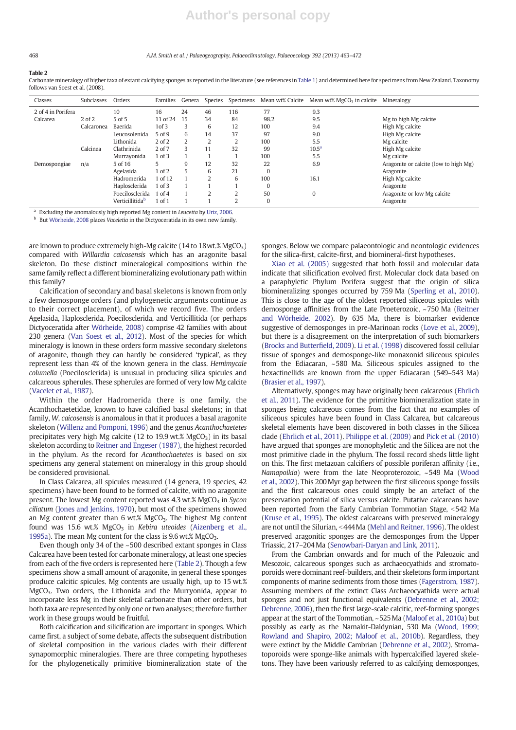#### 468 A.M. Smith et al. / Palaeogeography, Palaeoclimatology, Palaeoecology 392 (2013) 463–472

#### Table 2

Carbonate mineralogy of higher taxa of extant calcifying sponges as reported in the literature (see references in Table 1) and determined here for specimens from New Zealand. Taxonomy follows van Soest et al. (2008).

| Classes            | Subclasses | Orders                      | Families   | Genera | Species |                |          | Specimens Mean wt% Calcite Mean wt% $MgCO3$ in calcite | Mineralogy                            |
|--------------------|------------|-----------------------------|------------|--------|---------|----------------|----------|--------------------------------------------------------|---------------------------------------|
| 2 of 4 in Porifera |            | 10                          | 16         | 24     | 46      | 116            | 77       | 9.3                                                    |                                       |
| Calcarea           | $2$ of $2$ | 5 of 5                      | 11 of 24   | 15     | 34      | 84             | 98.2     | 9.5                                                    | Mg to high Mg calcite                 |
|                    | Calcaronea | Baerida                     | 1 of 3     | 3      | 6       | 12             | 100      | 9.4                                                    | High Mg calcite                       |
|                    |            | Leucosolenida               | 5 of 9     | 6      | 14      | 37             | 97       | 9.0                                                    | High Mg calcite                       |
|                    |            | Lithonida                   | $2$ of $2$ | 2      |         | 2              | 100      | 5.5                                                    | Mg calcite                            |
|                    | Calcinea   | Clathrinida                 | $2$ of $7$ | 3      | 11      | 32             | 99       | $10.5^{\rm a}$                                         | High Mg calcite                       |
|                    |            | Murrayonida                 | 1 of 3     |        |         |                | 100      | 5.5                                                    | Mg calcite                            |
| Demospongiae       | n/a        | 5 of 16                     |            | 9      | 12      | 32             | 22       | 6.9                                                    | Aragonite or calcite (low to high Mg) |
|                    |            | Agelasida                   | 1 of 2     | 5      | 6       | 21             | $\Omega$ |                                                        | Aragonite                             |
|                    |            | Hadromerida                 | 1 of 12    |        | 2       | 6              | 100      | 16.1                                                   | High Mg calcite                       |
|                    |            | Haplosclerida               | 1 of 3     |        |         |                | $\Omega$ |                                                        | Aragonite                             |
|                    |            | Poecilosclerida             | $1$ of $4$ |        |         | $\overline{2}$ | 50       | $\mathbf{0}$                                           | Aragonite or low Mg calcite           |
|                    |            | Verticillitida <sup>b</sup> | $1$ of $1$ |        |         | $\overline{2}$ | $\Omega$ |                                                        | Aragonite                             |

Excluding the anomalously high reported Mg content in Leucetta by Uriz, 2006.

<sup>b</sup> But Wörheide, 2008 places Vaceletia in the Dictyoceratida in its own new family.

are known to produce extremely high-Mg calcite (14 to 18 wt.%  $MgCO<sub>3</sub>$ ) compared with Willardia caicosensis which has an aragonite basal skeleton. Do these distinct mineralogical compositions within the same family reflect a different biomineralizing evolutionary path within this family?

Calcification of secondary and basal skeletons is known from only a few demosponge orders (and phylogenetic arguments continue as to their correct placement), of which we record five. The orders Agelasida, Haplosclerida, Poecilosclerida, and Verticillitida (or perhaps Dictyoceratida after Wörheide, 2008) comprise 42 families with about 230 genera (Van Soest et al., 2012). Most of the species for which mineralogy is known in these orders form massive secondary skeletons of aragonite, though they can hardly be considered 'typical', as they represent less than 4% of the known genera in the class. Hemimycale columella (Poecilosclerida) is unusual in producing silica spicules and calcareous spherules. These spherules are formed of very low Mg calcite (Vacelet et al., 1987).

Within the order Hadromerida there is one family, the Acanthochaetetidae, known to have calcified basal skeletons; in that family, W. caicosensis is anomalous in that it produces a basal aragonite skeleton (Willenz and Pomponi, 1996) and the genus Acanthochaetetes precipitates very high Mg calcite (12 to 19.9 wt.%  $MgCO<sub>3</sub>$ ) in its basal skeleton according to Reitner and Engeser (1987), the highest recorded in the phylum. As the record for Acanthochaetetes is based on six specimens any general statement on mineralogy in this group should be considered provisional.

In Class Calcarea, all spicules measured (14 genera, 19 species, 42 specimens) have been found to be formed of calcite, with no aragonite present. The lowest Mg content reported was  $4.3$  wt.% MgCO<sub>3</sub> in Sycon ciliatum (Jones and Jenkins, 1970), but most of the specimens showed an Mg content greater than 6 wt.%  $MgCO<sub>3</sub>$ . The highest Mg content found was 15.6 wt.%  $MgCO<sub>3</sub>$  in Kebira uteoides (Aizenberg et al., 1995a). The mean Mg content for the class is 9.6 wt.% MgCO<sub>3</sub>.

Even though only 34 of the ~500 described extant sponges in Class Calcarea have been tested for carbonate mineralogy, at least one species from each of the five orders is represented here (Table 2). Though a few specimens show a small amount of aragonite, in general these sponges produce calcitic spicules. Mg contents are usually high, up to 15 wt.% MgCO<sub>3</sub>. Two orders, the Lithonida and the Murryonida, appear to incorporate less Mg in their skeletal carbonate than other orders, but both taxa are represented by only one or two analyses; therefore further work in these groups would be fruitful.

Both calcification and silicification are important in sponges. Which came first, a subject of some debate, affects the subsequent distribution of skeletal composition in the various clades with their different synapomorphic mineralogies. There are three competing hypotheses for the phylogenetically primitive biomineralization state of the

sponges. Below we compare palaeontologic and neontologic evidences for the silica-first, calcite-first, and biomineral-first hypotheses.

Xiao et al. (2005) suggested that both fossil and molecular data indicate that silicification evolved first. Molecular clock data based on a paraphyletic Phylum Porifera suggest that the origin of silica biomineralizing sponges occurred by 759 Ma (Sperling et al., 2010). This is close to the age of the oldest reported siliceous spicules with demosponge affinities from the Late Proeterozoic, ~750 Ma (Reitner and Wörheide, 2002). By 635 Ma, there is biomarker evidence suggestive of demosponges in pre-Marinoan rocks (Love et al., 2009), but there is a disagreement on the interpretation of such biomarkers (Brocks and Butterfield, 2009). Li et al. (1998) discovered fossil cellular tissue of sponges and demosponge-like monaxonid siliceous spicules from the Ediacaran, ~580 Ma. Siliceous spicules assigned to the hexactinellids are known from the upper Ediacaran (549–543 Ma) (Brasier et al., 1997).

Alternatively, sponges may have originally been calcareous (Ehrlich et al., 2011). The evidence for the primitive biomineralization state in sponges being calcareous comes from the fact that no examples of siliceous spicules have been found in Class Calcarea, but calcareous skeletal elements have been discovered in both classes in the Silicea clade (Ehrlich et al., 2011). Philippe et al. (2009) and Pick et al. (2010) have argued that sponges are monophyletic and the Silicea are not the most primitive clade in the phylum. The fossil record sheds little light on this. The first metazoan calcifiers of possible poriferan affinity (i.e., Namapoikia) were from the late Neoproterozoic, ~549 Ma (Wood et al., 2002). This 200Myr gap between the first siliceous sponge fossils and the first calcareous ones could simply be an artefact of the preservation potential of silica versus calcite. Putative calcareans have been reported from the Early Cambrian Tommotian Stage, <542 Ma (Kruse et al., 1995). The oldest calcareans with preserved mineralogy are not until the Silurian, <444 Ma (Mehl and Reitner, 1996). The oldest preserved aragonitic sponges are the demosponges from the Upper Triassic, 217–204Ma (Senowbari-Daryan and Link, 2011).

From the Cambrian onwards and for much of the Paleozoic and Mesozoic, calcareous sponges such as archaeocyathids and stromatoporoids were dominant reef-builders, and their skeletons form important components of marine sediments from those times (Fagerstrom, 1987). Assuming members of the extinct Class Archaeocyathida were actual sponges and not just functional equivalents (Debrenne et al., 2002; Debrenne, 2006), then the first large-scale calcitic, reef-forming sponges appear at the start of the Tommotian, ~525Ma (Maloof et al., 2010a) but possibly as early as the Namakit-Daldynian, 530 Ma (Wood, 1999; Rowland and Shapiro, 2002; Maloof et al., 2010b). Regardless, they were extinct by the Middle Cambrian (Debrenne et al., 2002). Stromatoporoids were sponge-like animals with hypercalcified layered skeletons. They have been variously referred to as calcifying demosponges,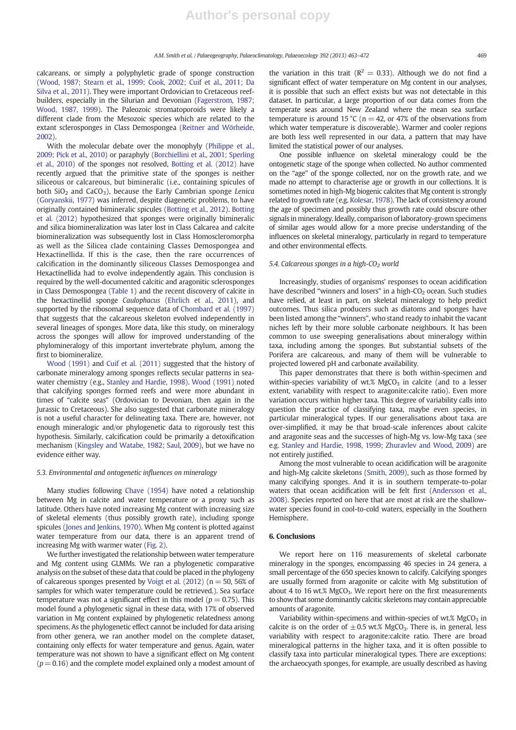calcareans, or simply a polyphyletic grade of sponge construction (Wood, 1987; Stearn et al., 1999; Cook, 2002; Cuif et al., 2011; Da Silva et al., 2011). They were important Ordovician to Cretaceous reefbuilders, especially in the Silurian and Devonian (Fagerstrom, 1987; Wood, 1987, 1999). The Paleozoic stromatoporoids were likely a different clade from the Mesozoic species which are related to the extant sclerosponges in Class Demospongea (Reitner and Wörheide, 2002).

With the molecular debate over the monophyly (Philippe et al., 2009; Pick et al., 2010) or paraphyly (Borchiellini et al., 2001; Sperling et al., 2010) of the sponges not resolved, Botting et al. (2012) have recently argued that the primitive state of the sponges is neither siliceous or calcareous, but bimineralic (i.e., containing spicules of both  $SiO<sub>2</sub>$  and  $CaCO<sub>3</sub>$ ), because the Early Cambrian sponge Lenica (Goryanskii, 1977) was inferred, despite diagenetic problems, to have originally contained bimineralic spicules (Botting et al., 2012). Botting et al. (2012) hypothesized that sponges were originally bimineralic and silica biomineralization was later lost in Class Calcarea and calcite biomineralization was subsequently lost in Class Homoscleromorpha as well as the Silicea clade containing Classes Demospongea and Hexactinellida. If this is the case, then the rare occurrences of calcification in the dominantly siliceous Classes Demospongea and Hexactinellida had to evolve independently again. This conclusion is required by the well-documented calcitic and aragonitic sclerosponges in Class Demospongea (Table 1) and the recent discovery of calcite in the hexactinellid sponge Caulophacus (Ehrlich et al., 2011), and supported by the ribosomal sequence data of Chombard et al. (1997) that suggests that the calcareous skeleton evolved independently in several lineages of sponges. More data, like this study, on mineralogy across the sponges will allow for improved understanding of the phylomineralogy of this important invertebrate phylum, among the first to biomineralize.

Wood (1991) and Cuif et al. (2011) suggested that the history of carbonate mineralogy among sponges reflects secular patterns in seawater chemistry (e.g., Stanley and Hardie, 1998). Wood (1991) noted that calcifying sponges formed reefs and were more abundant in times of "calcite seas" (Ordovician to Devonian, then again in the Jurassic to Cretaceous). She also suggested that carbonate mineralogy is not a useful character for delineating taxa. There are, however, not enough mineralogic and/or phylogenetic data to rigorously test this hypothesis. Similarly, calcification could be primarily a detoxification mechanism (Kingsley and Watabe, 1982; Saul, 2009), but we have no evidence either way.

#### 5.3. Environmental and ontogenetic influences on mineralogy

Many studies following Chave (1954) have noted a relationship between Mg in calcite and water temperature or a proxy such as latitude. Others have noted increasing Mg content with increasing size of skeletal elements (thus possibly growth rate), including sponge spicules (Jones and Jenkins, 1970). When Mg content is plotted against water temperature from our data, there is an apparent trend of increasing Mg with warmer water (Fig. 2).

We further investigated the relationship between water temperature and Mg content using GLMMs. We ran a phylogenetic comparative analysis on the subset of these data that could be placed in the phylogeny of calcareous sponges presented by Voigt et al.  $(2012)$   $(n = 50, 56\%)$  of samples for which water temperature could be retrieved.). Sea surface temperature was not a significant effect in this model ( $p = 0.75$ ). This model found a phylogenetic signal in these data, with 17% of observed variation in Mg content explained by phylogenetic relatedness among specimens. As the phylogenetic effect cannot be included for data arising from other genera, we ran another model on the complete dataset, containing only effects for water temperature and genus. Again, water temperature was not shown to have a significant effect on Mg content  $(p= 0.16)$  and the complete model explained only a modest amount of the variation in this trait ( $R^2 = 0.33$ ). Although we do not find a significant effect of water temperature on Mg content in our analyses, it is possible that such an effect exists but was not detectable in this dataset. In particular, a large proportion of our data comes from the temperate seas around New Zealand where the mean sea surface temperature is around 15 °C ( $n = 42$ , or 47% of the observations from which water temperature is discoverable). Warmer and cooler regions are both less well represented in our data, a pattern that may have limited the statistical power of our analyses.

One possible influence on skeletal mineralogy could be the ontogenetic stage of the sponge when collected. No author commented on the "age" of the sponge collected, nor on the growth rate, and we made no attempt to characterise age or growth in our collections. It is sometimes noted in high-Mg biogenic calcites that Mg content is strongly related to growth rate (e.g. Kolesar, 1978). The lack of consistency around the age of specimen and possibly thus growth rate could obscure other signals in mineralogy. Ideally, comparison of laboratory-grown specimens of similar ages would allow for a more precise understanding of the influences on skeletal mineralogy, particularly in regard to temperature and other environmental effects.

#### 5.4. Calcareous sponges in a high-CO<sub>2</sub> world

Increasingly, studies of organisms' responses to ocean acidification have described "winners and losers" in a high- $CO<sub>2</sub>$  ocean. Such studies have relied, at least in part, on skeletal mineralogy to help predict outcomes. Thus silica producers such as diatoms and sponges have been listed among the "winners", who stand ready to inhabit the vacant niches left by their more soluble carbonate neighbours. It has been common to use sweeping generalisations about mineralogy within taxa, including among the sponges. But substantial subsets of the Porifera are calcareous, and many of them will be vulnerable to projected lowered pH and carbonate availability.

This paper demonstrates that there is both within-specimen and within-species variability of wt.%  $MgCO<sub>3</sub>$  in calcite (and to a lesser extent, variability with respect to aragonite:calcite ratio). Even more variation occurs within higher taxa. This degree of variability calls into question the practice of classifying taxa, maybe even species, in particular mineralogical types. If our generalisations about taxa are over-simplified, it may be that broad-scale inferences about calcite and aragonite seas and the successes of high-Mg vs. low-Mg taxa (see e.g. Stanley and Hardie, 1998, 1999; Zhuravlev and Wood, 2009) are not entirely justified.

Among the most vulnerable to ocean acidification will be aragonite and high-Mg calcite skeletons (Smith, 2009), such as those formed by many calcifying sponges. And it is in southern temperate-to-polar waters that ocean acidification will be felt first (Andersson et al., 2008). Species reported on here that are most at risk are the shallowwater species found in cool-to-cold waters, especially in the Southern Hemisphere.

#### 6. Conclusions

We report here on 116 measurements of skeletal carbonate mineralogy in the sponges, encompassing 46 species in 24 genera, a small percentage of the 650 species known to calcify. Calcifying sponges are usually formed from aragonite or calcite with Mg substitution of about 4 to 16 wt.% MgCO<sub>3</sub>. We report here on the first measurements to show that some dominantly calcitic skeletons may contain appreciable amounts of aragonite.

Variability within-specimens and within-species of wt.%  $MgCO<sub>3</sub>$  in calcite is on the order of  $\pm$  0.5 wt.% MgCO<sub>3</sub>. There is, in general, less variability with respect to aragonite:calcite ratio. There are broad mineralogical patterns in the higher taxa, and it is often possible to classify taxa into particular mineralogical types. There are exceptions: the archaeocyath sponges, for example, are usually described as having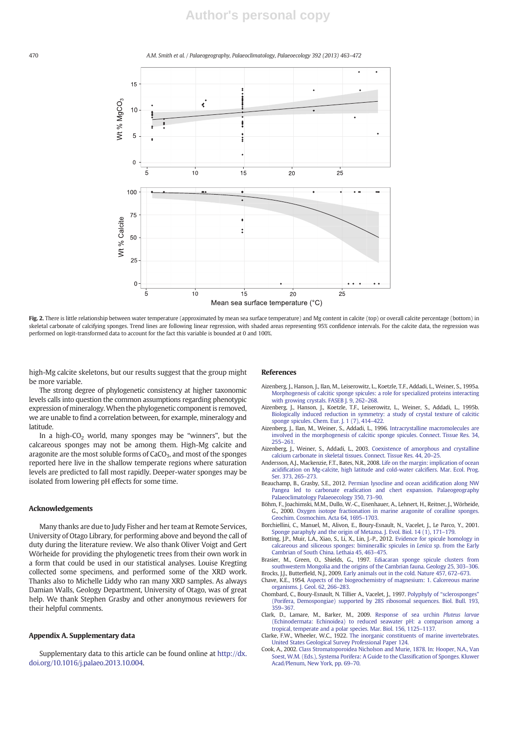### **Author's personal copy**

#### 470 A.M. Smith et al. / Palaeogeography, Palaeoclimatology, Palaeoecology 392 (2013) 463–472



Fig. 2. There is little relationship between water temperature (approximated by mean sea surface temperature) and Mg content in calcite (top) or overall calcite percentage (bottom) in skeletal carbonate of calcifying sponges. Trend lines are following linear regression, with shaded areas representing 95% confidence intervals. For the calcite data, the regression was performed on logit-transformed data to account for the fact this variable is bounded at 0 and 100%.

high-Mg calcite skeletons, but our results suggest that the group might be more variable.

The strong degree of phylogenetic consistency at higher taxonomic levels calls into question the common assumptions regarding phenotypic expression of mineralogy.When the phylogenetic component is removed, we are unable to find a correlation between, for example, mineralogy and latitude.

In a high- $CO<sub>2</sub>$  world, many sponges may be "winners", but the calcareous sponges may not be among them. High-Mg calcite and aragonite are the most soluble forms of CaCO<sub>3</sub>, and most of the sponges reported here live in the shallow temperate regions where saturation levels are predicted to fall most rapidly. Deeper-water sponges may be isolated from lowering pH effects for some time.

#### Acknowledgements

Many thanks are due to Judy Fisher and her team at Remote Services, University of Otago Library, for performing above and beyond the call of duty during the literature review. We also thank Oliver Voigt and Gert Wörheide for providing the phylogenetic trees from their own work in a form that could be used in our statistical analyses. Louise Kregting collected some specimens, and performed some of the XRD work. Thanks also to Michelle Liddy who ran many XRD samples. As always Damian Walls, Geology Department, University of Otago, was of great help. We thank Stephen Grasby and other anonymous reviewers for their helpful comments.

#### Appendix A. Supplementary data

Supplementary data to this article can be found online at http://dx. doi.org/10.1016/j.palaeo.2013.10.004.

#### References

- Aizenberg, J., Hanson, J., Ilan, M., Leiserowitz, L., Koetzle, T.F., Addadi, L., Weiner, S., 1995a. Morphogenesis of calcitic sponge spicules: a role for specialized proteins interacting with growing crystals. FASEB J. 9, 262–268.
- Aizenberg, J., Hanson, J., Koetzle, T.F., Leiserowitz, L., Weiner, S., Addadi, L., 1995b. Biologically induced reduction in symmetry: a study of crystal texture of calcitic sponge spicules. Chem. Eur. J. 1 (7), 414–422.
- Aizenberg, J., Ilan, M., Weiner, S., Addadi, L., 1996. Intracrystalline macromolecules are involved in the morphogenesis of calcitic sponge spicules. Connect. Tissue Res. 34, 255–261.
- Aizenberg, J., Weiner, S., Addadi, L., 2003. Coexistence of amorphous and crystalline calcium carbonate in skeletal tissues. Connect. Tissue Res. 44, 20–25.
- Andersson, A.J., Mackenzie, F.T., Bates, N.R., 2008. Life on the margin: implication of ocean acidification on Mg-calcite, high latitude and cold-water calcifiers. Mar. Ecol. Prog. Ser. 373, 265–273.
- Beauchamp, B., Grasby, S.E., 2012. Permian lysocline and ocean acidification along NW Pangea led to carbonate eradication and chert expansion. Palaeogeography Palaeoclimatology Palaeoecology 350, 73–90.
- Böhm, F., Joachimski, M.M., Dullo, W.-C., Eisenhauer, A., Lehnert, H., Reitner, J., Wörheide, G., 2000. Oxygen isotope fractionation in marine aragonite of coralline sponges. Geochim. Cosmochim. Acta 64, 1695–1703.
- Borchiellini, C., Manuel, M., Alivon, E., Boury-Esnault, N., Vacelet, J., Le Parco, Y., 2001. Sponge paraphyly and the origin of Metazoa. J. Evol. Biol. 14 (1), 171–179.
- Botting, J.P., Muir, L.A., Xiao, S., Li, X., Lin, J.-P., 2012. Evidence for spicule homology in calcareous and siliceous sponges: biminerallic spicules in Lenica sp. from the Early Cambrian of South China. Lethaia 45, 463–475.
- Brasier, M., Green, O., Shields, G., 1997. Ediacaran sponge spicule clusters from southwestern Mongolia and the origins of the Cambrian fauna. Geology 25, 303–306. Brocks, J.J., Butterfield, N.J., 2009. Early animals out in the cold. Nature 457, 672–673.
- Chave, K.E., 1954. Aspects of the biogeochemistry of magnesium: 1. Calcereous marine organisms. J. Geol. 62, 266–283.
- Chombard, C., Boury-Esnault, N. Tillier A., Vacelet, J., 1997. Polyphyly of "sclerosponges" (Porifera, Demospongiae) supported by 28S ribosomal sequences. Biol. Bull. 193, 359–367.
- Clark, D., Lamare, M., Barker, M., 2009. Response of sea urchin Pluteus larvae (Echinodermata: Echinoidea) to reduced seawater pH: a comparison among a
- tropical, temperate and a polar species. Mar. Biol. 156, 1125–1137. Clarke, F.W., Wheeler, W.C., 1922. The inorganic constituents of marine invertebrates. United States Geological Survey Professional Paper 124.
- Cook, A., 2002. Class Stromatoporoidea Nicholson and Murie, 1878. In: Hooper, N.A., Van Soest, W.M. (Eds.), Systema Porifera: A Guide to the Classification of Sponges. Kluwer Acad/Plenum, New York, pp. 69–70.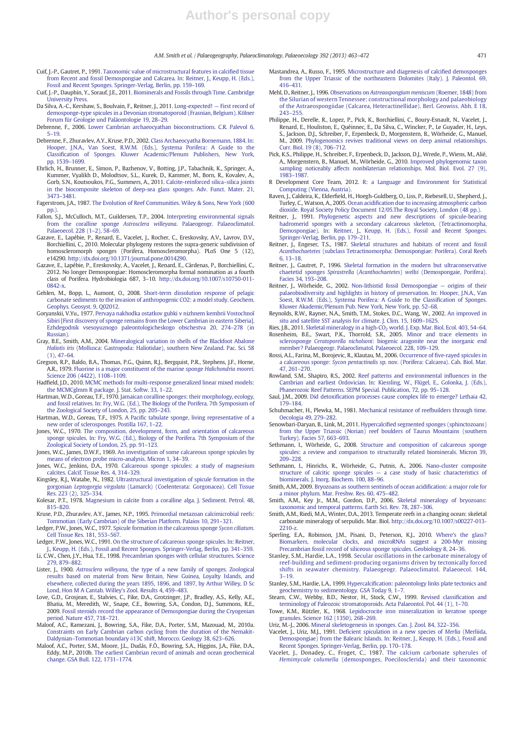#### A.M. Smith et al. / Palaeogeography, Palaeoclimatology, Palaeoecology 392 (2013) 463–472 471

- Cuif, J.-P., Gautret, P., 1991. Taxonomic value of microstructural features in calcified tissue from Recent and fossil Demospongiae and Calcarea. In: Reitner, J., Keupp, H. (Eds.), Fossil and Recent Sponges. Springer-Verlag, Berlin, pp. 159–169.
- Cuif, J.-P., Dauphin, Y., Sorauf, J.E., 2011. Biominerals and Fossils through Time. Cambridge University Press.
- Da Silva, A.-C., Kershaw, S., Boulvain, F., Reitner, J., 2011. Long-expected! First record of demosponge-type spicules in a Devonian stromatoporoid (Frasnian, Belgium). Kölner Forum für Geologie und Paläontologie 19, 28–29.
- Debrenne, F., 2006. Lower Cambrian archaeocyathan bioconstructions. C.R. Palevol 6, 5–19.
- Debrenne, F., Zhuravlev, A.Y., Kruse, P.D., 2002. Class Archaeocyatha Bornemann, 1884. In: Hooper, J.N.A., Van Soest, R.W.M. (Eds.), Systema Porifera: A Guide to the Classification of Sponges. Kluwer Academic/Plenum Publishers, New York, pp. 1539–1699.
- Ehrlich, H., Brunner, E., Simon, P., Bazhenov, V., Botting, J.P., Tabachnik, K., Springer, A., Kummer, Vyalikh D., Molodtsov, S.L., Kurek, D., Kammer, M., Born, R., Kovalev, A., Gorb, S.N., Koutsoukos, P.G., Summers, A., 2011. Calcite-reinforced silica–silica joints in the biocomposite skeleton of deep-sea glass sponges. Adv. Funct. Mater. 21, 3473–3481.
- Fagerstrom, J.A., 1987. The Evolution of Reef Communities. Wiley & Sons, New York (600  $pn.$ )
- Fallon, S.J., McCulloch, M.T., Guildersen, T.P., 2004. Interpreting environmental signals from the coralline sponge Astrosclera willeyana. Palaeogeogr. Palaeoclimatol. Palaeoecol. 228 (1–2), 58–69.
- Gazave, E., Lapébie, P., Renard, E., Vacelet, J., Rocher, C., Ereskovsky, A.V., Lavrov, D.V., Borchiellini, C., 2010. Molecular phylogeny restores the supra-generic subdivision of homoscleromorph sponges (Porifera, Homoscleromorpha). PLoS One 5 (12), e14290. http://dx.doi.org/10.1371/journal.pone.0014290.
- Gazave, E., Lapébie, P., Ereskovsky, A., Vacelet, J., Renard, E., Cárdenas, P., Borchiellini, C., 2012. No longer Demospongiae: Homoscleromorpha formal nomination as a fourth class of Porifera. Hydrobiologia 687, 3–10. http://dx.doi.org/10.1007/s10750-011- 0842-x.
- Gehlen, M., Bopp, L., Aumont, O., 2008. Short-term dissolution response of pelagic carbonate sediments to the invasion of anthropogenic CO2: a model study. Geochem. Geophys. Geosyst. 9, Q02012.
- Goryanskii, V.Yu., 1977. Pervaya nakhodka ostatkov gubki v nizhnem kembrii Vostochnoĭ Sibiri [First discovery of sponge remains from the Lower Cambrian in eastern Siberia]. Ezhdegodnik vsesoyuznogo paleontologicheskogo obschestva 20, 274–278 (in Russian).
- Gray, B.E., Smith, A.M., 2004. Mineralogical variation in shells of the Blackfoot Abalone Haliotis iris (Mollusca: Gastropoda: Haliotidae), southern New Zealand. Pac. Sci. 58 (1), 47–64.
- Gregson, R.P., Baldo, B.A., Thomas, P.G., Quinn, R.J., Bergquist, P.R., Stephens, J.F., Horne, A.R., 1979. Fluorine is a major constituent of the marine sponge Halichondria moorei. Science 206 (4422), 1108–1109.
- Hadfield, J.D., 2010. MCMC methods for multi-response generalized linear mixed models: the MCMCglmm R package. J. Stat. Softw. 33, 1–22.
- Hartman, W.D., Goreau, T.F., 1970. Jamaican coralline sponges: their morphology, ecology, and fossil relatives. In: Fry, W.G. (Ed.), The Biology of the Porifera. 7th Symposium of
- the Zoological Society of London, 25, pp. 205–243. Hartman, W.D., Goreau, T.F., 1975. A Pacific tabulate sponge, living representative of a new order of sclerosponges. Postilla 167, 1–22.
- Jones, W.C., 1970. The composition, development, form, and orientation of calcareous sponge spicules. In: Fry, W.G. (Ed.), Biology of the Porifera. 7th Symposium of the Zoological Society of London, 25, pp. 91–123.
- Jones, W.C., James, D.W.F., 1969. An investigation of some calcareous sponge spicules by means of electron probe micro-analysis. Micron 1, 34–39.
- Jones, W.C., Jenkins, D.A., 1970. Calcareous sponge spicules: a study of magnesium calcites. Calcif. Tissue Res. 4, 314–329.
- Kingsley, R.J., Watabe, N., 1982. Ultrastructural investigation of spicule formation in the gorgonian Leptogorgia virgulata (Lamarck) (Coelenterata: Gorgonacea). Cell Tissue Res. 223 (2), 325–334.
- Kolesar, P.T., 1978. Magnesium in calcite from a coralline alga. J. Sediment. Petrol. 48, 815–820.
- Kruse, P.D., Zhuravlev, A.Y., James, N.P., 1995. Primordial metazoan calcimicrobial reefs: Tommotian (Early Cambrian) of the Siberian Platform. Palaios 10, 291–321.
- Ledger, P.W., Jones, W.C., 1977. Spicule formation in the calcareous sponge Sycon ciliatum. Cell Tissue Res. 181, 553–567.
- Ledger, P.W., Jones, W.C., 1991. On the structure of calcareous sponge spicules. In: Reitner, J., Keupp, H. (Eds.), Fossil and Recent Sponges. Springer-Verlag, Berlin, pp. 341–359.
- Li, C.W., Chen, J.Y., Hua, T.E., 1998. Precambrian sponges with cellular structures. Science 279, 879–882.
- Lister, J., 1900. Astrosclera willeyana, the type of a new family of sponges. Zoological results based on material from New Britain, New Guinea, Loyalty Islands, and elsewhere, collected during the years 1895, 1896, and 1897, by Arthur Willey, D Sc Lond, Hon M A Cantab. Willey's Zool. Results 4, 459–483.
- Love, G.D., Grosjean, E., Stalvies, C., Fike, D.A., Grotzinger, J.P., Bradley, A.S., Kelly, A.E., Bhatia, M., Meredith, W., Snape, C.E., Bowring, S.A., Condon, D.J., Summons, R.E., 2009. Fossil steroids record the appearance of Demospongiae during the Cryogenian period. Nature 457, 718–721.
- Maloof, A.C., Ramezani, J., Bowring, S.A., Fike, D.A., Porter, S.M., Mazouad, M., 2010a. Constraints on Early Cambrian carbon cycling from the duration of the Nemakit-Daldynian–Tommotian boundary δ13C shift, Morocco. Geology 38, 623–626.
- Maloof, A.C., Porter, S.M., Moore, J.L., Dudás, F.Ö., Bowring, S.A., Higgins, J.A., Fike, D.A., Eddy, M.P., 2010b. The earliest Cambrian record of animals and ocean geochemical change. GSA Bull. 122, 1731–1774.
- Mastandrea, A., Russo, F., 1995. Microstructure and diagenesis of calcified demosponges from the Upper Triassic of the northeastern Dolomites (Italy). J. Paleontol. 69, 416–431.
- Mehl, D., Reitner, J., 1996. Observations on Astreaospongium meniscum (Roemer, 1848) from the Silurian of western Tennessee: constructional morphology and palaeobiology of the Astraeospongiidae (Calcarea, Heteractinellidae). Berl. Geowiss. Abh. E 18, 243–255.
- Philippe, H., Derelle, R., Lopez, P., Pick, K., Borchiellini, C., Boury-Esnault, N., Vacelet, J., Renard, E., Houliston, E., Quéinnec, E., Da Silva, C., Wincker, P., Le Guyader, H., Leys, S., Jackson, D.J., Schreiber, F., Erpenbeck, D., Morgenstern, B., Wörheide, G., Manuel, M., 2009. Phylogenomics revives traditional views on deep animal relationships. Curr. Biol. 19 (8), 706–712.
- Pick, K.S., Philippe, H., Schreiber, F., Erpenbeck, D., Jackson, D.J., Wrede, P., Wiens, M., Alié, A., Morgenstern, B., Manuel, M., Wörheide, G., 2010. Improved phylogenomic taxon sampling noticeably affects nonbilaterian relationships. Mol. Biol. Evol. 27 (9), 1983–1987.
- R Development Core Team, 2012. R: a Language and Environment for Statistical Computing (Vienna, Austria).
- Raven, J., Caldeira, K., Elderfield, H., Hoegh-Guldberg, O., Liss, P., Riebesell, U., Shepherd, J., Turley, C., Watson, A., 2005. Ocean acidification due to increasing atmospheric carbon dioxide. Royal Society Policy Document 12/05.The Royal Society, London (48 pp.).
- Reitner, J., 1991. Phylogenetic aspects and new descriptions of spicule-bearing hadromerid sponges with a secondary calcareous skeleton, (Tetractinomorpha, Demospongiae). In: Reitner, J., Keupp, H. (Eds.), Fossil and Recent Sponges. Springer-Verlag, Berlin, pp. 179–211.
- Reitner, J., Engeser, T.S., 1987. Skeletal structures and habitats of recent and fossil Acanthochaetetes (subclass Tetractinomorpha: Demospongiae: Porifera). Coral Reefs 6, 13–18.
- Reitner, J., Gautret, P., 1996. Skeletal formation in the modern but ultraconservative chaetetid sponges Spirastrella (Acanthochaetetes) wellsi (Demospongaie, Porifera). Facies 34, 193–208.
- Reitner, J., Wörheide, G., 2002. Non-lithistid fossil Demospongiae origins of their palaeobiodiversity and highlights in history of preservation. In: Hooper, J.N.A., Van Soest, R.W.M. (Eds.), Systema Porifera: A Guide to the Classification of Sponges. Kluwer Akademic/Plenum Pub. New York, New York, pp. 52–68.
- Reynolds, R.W., Rayner, N.A., Smith, T.M., Stokes, D.C., Wang, W., 2002. An improved in situ and satellite SST analysis for climate. J. Clim. 15, 1609–1625.
- Ries, J.B., 2011. Skeletal mineralogy in a high-CO<sub>2</sub> world. J. Exp. Mar. Biol. Ecol. 403, 54-64. Rosenheim, B.E., Swart, P.K., Thorrold, S.R., 2005. Minor and trace elements in sclerosponge Ceratoporella nicholsoni: biogenic aragonite near the inorganic end member? Palaeogeogr. Palaeoclimatol. Palaeoecol. 228, 109–129.
- Rossi, A.L., Farina, M., Borojevic, R., Klautau, M., 2006. Occurrence of five-rayed spicules in a calcareous sponge: Sycon pentactinalis sp. nov. (Porifera: Calcarea). Cah. Biol. Mar. 47, 261–270.
- Rowland, S.M., Shapiro, R.S., 2002. Reef patterns and environmental influences in the Cambrian and earliest Ordovician. In: Kiessling, W., Flügel, E., Golonka, J. (Eds.), Phanerozoic Reef Patterns. SEPM Special. Publication, 72, pp. 95–128.
- Saul, J.M., 2009. Did detoxification processes cause complex life to emerge? Lethaia 42, 179–184.
- Schuhmacher, H., Plewka, M., 1981. Mechanical resistance of reefbuilders through time. Oecologia 49, 279–282.
- Senowbari-Daryan, B., Link, M., 2011. Hypercalcified segmented sponges (sphinctozoans) from the Upper Triassic (Norian) reef boulders of Taurus Mountains (southern Turkey). Facies 57, 663–693.
- Sethmann, I., Wörheide, G., 2008. Structure and composition of calcareous sponge spicules: a review and comparison to structurally related biominerals. Micron 39, 209–228.
- Sethmann, I., Hinrichs, R., Wörheide, G., Putnis, A., 2006. Nano-cluster composite structure of calcitic sponge spicules — a case study of basic characteristics of biominerals. J. Inorg. Biochem. 100, 88–96.
- Smith, A.M., 2009. Bryozoans as southern sentinels of ocean acidification: a major role for a minor phylum. Mar. Freshw. Res. 60, 475–482.
- Smith, A.M., Key Jr., M.M., Gordon, D.P., 2006. Skeletal mineralogy of bryozoans: taxonomic and temporal patterns. Earth Sci. Rev. 78, 287–306. Smith, A.M., Riedi, M.A., Winter, D.A., 2013. Temperate reefs in a changing ocean: skeletal
- carbonate mineralogy of serpulids. Mar. Biol. http://dx.doi.org/10.1007/s00227-013- 2210-z.
- Sperling, E.A., Robinson, J.M., Pisani, D., Peterson, K.J., 2010. Where's the glass? Biomarkers, molecular clocks, and microRNAs suggest a 200-Myr missing Precambrian fossil record of siliceous sponge spicules. Geobiology 8, 24–36.
- Stanley, S.M., Hardie, L.A., 1998. Secular oscillations in the carbonate mineralogy of reef-building and sediment-producing organisms driven by tectonically forced shifts in seawater chemistry. Palaeogeogr. Palaeoclimatol. Palaeoecol. 144, 3–19.
- Stanley, S.M., Hardie, L.A., 1999. Hypercalcification: paleontology links plate tectonics and geochemistry to sedimentology. GSA Today 9, 1–7.
- Stearn, C.W., Webby, B.D., Nestor, H., Stock, C.W., 1999. Revised classification and terminology of Paleozoic stromatoporoids. Acta Palaeontol. Pol. 44 (1), 1–70.
- Towe, K.M., Rützler, K., 1968. Lepidocrocite iron mineralization in keratose sponge granules. Science 162 (1350), 268–269.
- Uriz, M.-J., 2006. Mineral skeletogenesis in sponges. Can. J. Zool. 84, 322–356.
- Vacelet, J., Uriz, M.J., 1991. Deficient spiculation in a new species of Merlia (Merliida, Demospongiae) from the Balearic Islands. In: Reitner, J., Keupp, H. (Eds.), Fossil and
- Recent Sponges. Springer-Verlag, Berlin, pp. 170–178. Vacelet, J., Donadey, C., Froget, C., 1987. The calcium carbonate spherules of Hemimycale columella (demosponges, Poecilosclerida) and their taxonomic